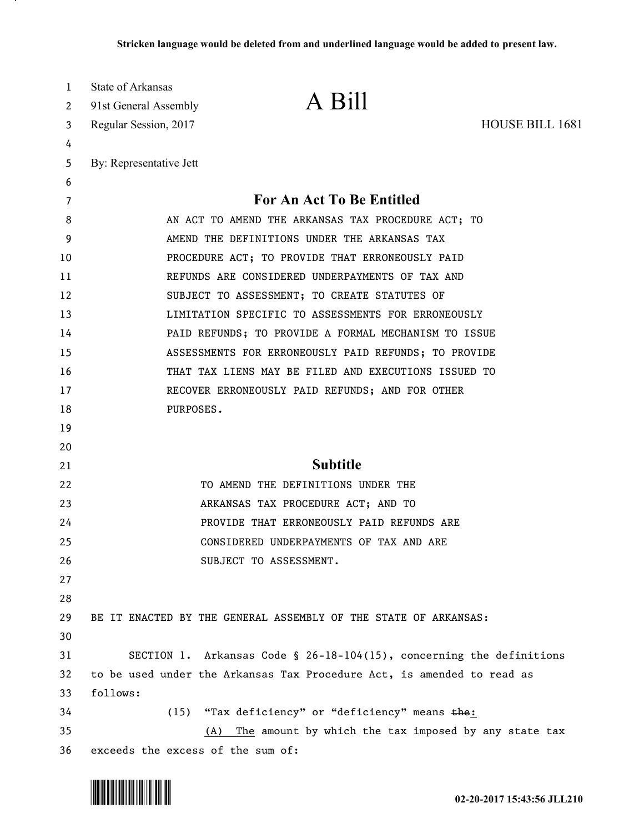| 1<br>2   | State of Arkansas<br>91st General Assembly         | A Bill                                                                 |                        |  |
|----------|----------------------------------------------------|------------------------------------------------------------------------|------------------------|--|
| 3        | Regular Session, 2017                              |                                                                        | <b>HOUSE BILL 1681</b> |  |
| 4        |                                                    |                                                                        |                        |  |
| 5        | By: Representative Jett                            |                                                                        |                        |  |
| 6        |                                                    |                                                                        |                        |  |
| 7        |                                                    | For An Act To Be Entitled                                              |                        |  |
| 8        | AN ACT TO AMEND THE ARKANSAS TAX PROCEDURE ACT; TO |                                                                        |                        |  |
| 9        | AMEND THE DEFINITIONS UNDER THE ARKANSAS TAX       |                                                                        |                        |  |
| 10       |                                                    | PROCEDURE ACT; TO PROVIDE THAT ERRONEOUSLY PAID                        |                        |  |
| 11       | REFUNDS ARE CONSIDERED UNDERPAYMENTS OF TAX AND    |                                                                        |                        |  |
| 12       |                                                    | SUBJECT TO ASSESSMENT; TO CREATE STATUTES OF                           |                        |  |
| 13       |                                                    | LIMITATION SPECIFIC TO ASSESSMENTS FOR ERRONEOUSLY                     |                        |  |
| 14       |                                                    | PAID REFUNDS; TO PROVIDE A FORMAL MECHANISM TO ISSUE                   |                        |  |
| 15       |                                                    | ASSESSMENTS FOR ERRONEOUSLY PAID REFUNDS; TO PROVIDE                   |                        |  |
| 16       |                                                    | THAT TAX LIENS MAY BE FILED AND EXECUTIONS ISSUED TO                   |                        |  |
| 17<br>18 | PURPOSES.                                          | RECOVER ERRONEOUSLY PAID REFUNDS; AND FOR OTHER                        |                        |  |
| 19       |                                                    |                                                                        |                        |  |
| 20       |                                                    |                                                                        |                        |  |
| 21       |                                                    | <b>Subtitle</b>                                                        |                        |  |
| 22       |                                                    | TO AMEND THE DEFINITIONS UNDER THE                                     |                        |  |
| 23       |                                                    | ARKANSAS TAX PROCEDURE ACT; AND TO                                     |                        |  |
| 24       |                                                    | PROVIDE THAT ERRONEOUSLY PAID REFUNDS ARE                              |                        |  |
| 25       |                                                    | CONSIDERED UNDERPAYMENTS OF TAX AND ARE                                |                        |  |
| 26       |                                                    | SUBJECT TO ASSESSMENT.                                                 |                        |  |
| 27       |                                                    |                                                                        |                        |  |
| 28       |                                                    |                                                                        |                        |  |
| 29       |                                                    | BE IT ENACTED BY THE GENERAL ASSEMBLY OF THE STATE OF ARKANSAS:        |                        |  |
| 30       |                                                    |                                                                        |                        |  |
| 31       |                                                    | SECTION 1. Arkansas Code § 26-18-104(15), concerning the definitions   |                        |  |
| 32       |                                                    | to be used under the Arkansas Tax Procedure Act, is amended to read as |                        |  |
| 33       | follows:                                           |                                                                        |                        |  |
| 34       | (15)                                               | "Tax deficiency" or "deficiency" means the:                            |                        |  |
| 35       |                                                    | The amount by which the tax imposed by any state tax<br>(A)            |                        |  |
| 36       | exceeds the excess of the sum of:                  |                                                                        |                        |  |



.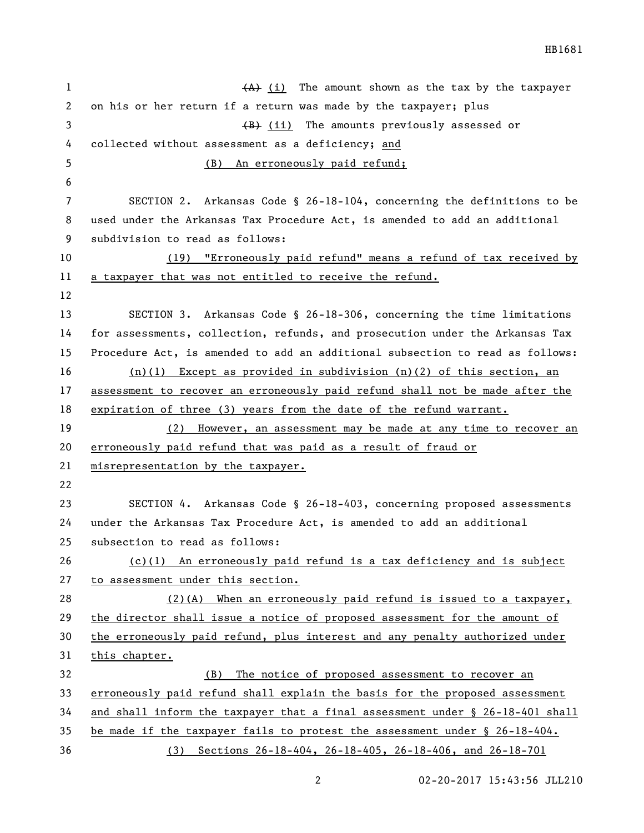1 (A) (i) The amount shown as the tax by the taxpayer on his or her return if a return was made by the taxpayer; plus 3 (B) (ii) The amounts previously assessed or collected without assessment as a deficiency; and (B) An erroneously paid refund; SECTION 2. Arkansas Code § 26-18-104, concerning the definitions to be used under the Arkansas Tax Procedure Act, is amended to add an additional subdivision to read as follows: (19) "Erroneously paid refund" means a refund of tax received by a taxpayer that was not entitled to receive the refund. SECTION 3. Arkansas Code § 26-18-306, concerning the time limitations for assessments, collection, refunds, and prosecution under the Arkansas Tax Procedure Act, is amended to add an additional subsection to read as follows: (n)(1) Except as provided in subdivision (n)(2) of this section, an assessment to recover an erroneously paid refund shall not be made after the expiration of three (3) years from the date of the refund warrant. (2) However, an assessment may be made at any time to recover an erroneously paid refund that was paid as a result of fraud or misrepresentation by the taxpayer. SECTION 4. Arkansas Code § 26-18-403, concerning proposed assessments under the Arkansas Tax Procedure Act, is amended to add an additional subsection to read as follows: (c)(1) An erroneously paid refund is a tax deficiency and is subject to assessment under this section. (2)(A) When an erroneously paid refund is issued to a taxpayer, the director shall issue a notice of proposed assessment for the amount of the erroneously paid refund, plus interest and any penalty authorized under this chapter. (B) The notice of proposed assessment to recover an erroneously paid refund shall explain the basis for the proposed assessment and shall inform the taxpayer that a final assessment under § 26-18-401 shall be made if the taxpayer fails to protest the assessment under § 26-18-404. (3) Sections 26-18-404, 26-18-405, 26-18-406, and 26-18-701

HB1681

02-20-2017 15:43:56 JLL210